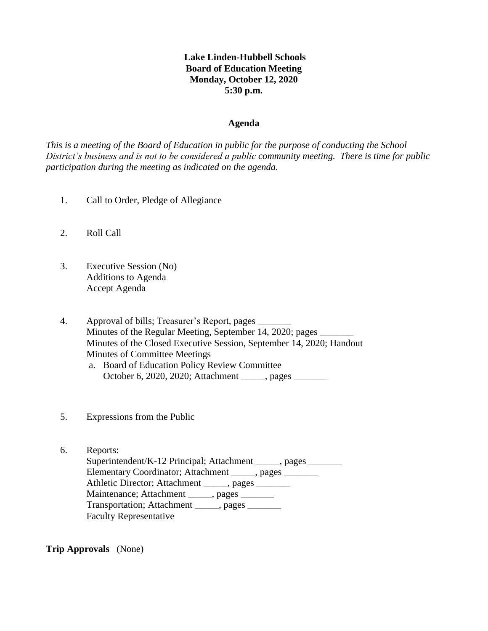# **Lake Linden-Hubbell Schools Board of Education Meeting Monday, October 12, 2020 5:30 p.m.**

#### **Agenda**

*This is a meeting of the Board of Education in public for the purpose of conducting the School District's business and is not to be considered a public community meeting. There is time for public participation during the meeting as indicated on the agenda.*

- 1. Call to Order, Pledge of Allegiance
- 2. Roll Call
- 3. Executive Session (No) Additions to Agenda Accept Agenda
- 4. Approval of bills; Treasurer's Report, pages Minutes of the Regular Meeting, September 14, 2020; pages \_ Minutes of the Closed Executive Session, September 14, 2020; Handout Minutes of Committee Meetings a. Board of Education Policy Review Committee
	- October 6, 2020, 2020; Attachment \_\_\_\_\_, pages \_\_\_\_\_\_\_
- 5. Expressions from the Public
- 6. Reports: Superintendent/K-12 Principal; Attachment \_\_\_\_\_, pages \_\_\_\_\_\_\_ Elementary Coordinator; Attachment \_\_\_\_\_, pages \_\_\_\_\_\_\_ Athletic Director; Attachment \_\_\_\_\_, pages \_\_\_\_\_\_\_ Maintenance; Attachment \_\_\_\_\_, pages \_\_\_\_\_\_ Transportation; Attachment \_\_\_\_\_, pages Faculty Representative

**Trip Approvals** (None)